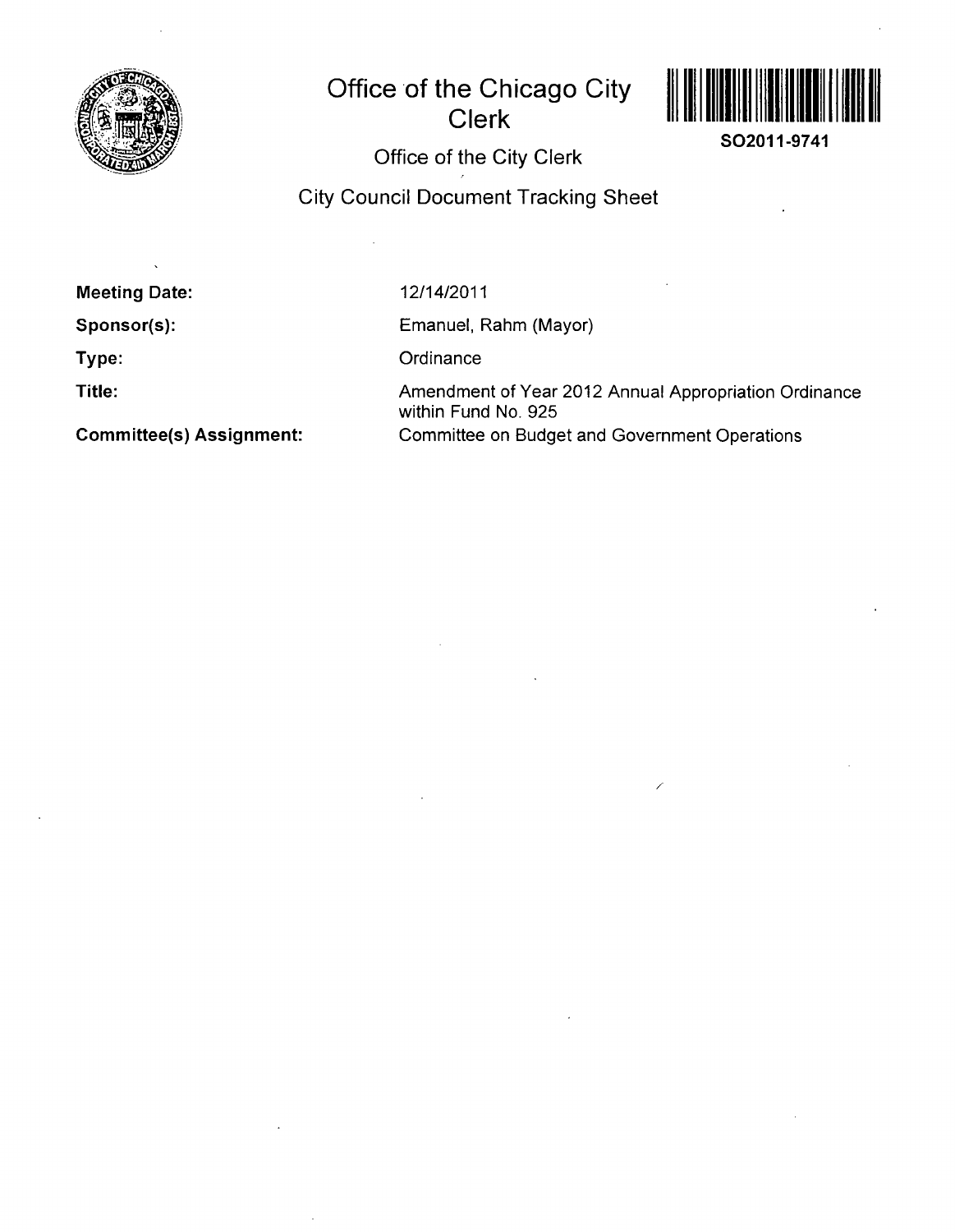

# **Office of the Chicago City Clerk**



**SO2011-9741** 

**Office of the City Clerk** 

## **City Council Document Tracking Sheet**

**Meeting Date:** 

**Sponsor(s):** 

**Type:** 

**Title:** 

**Committee(s) Assignment:** 

12/14/2011

Emanuel, Rahm (Mayor)

**Ordinance** 

Amendment of Year 2012 Annual Appropriation Ordinance within Fund No. 925 Committee on Budget and Government Operations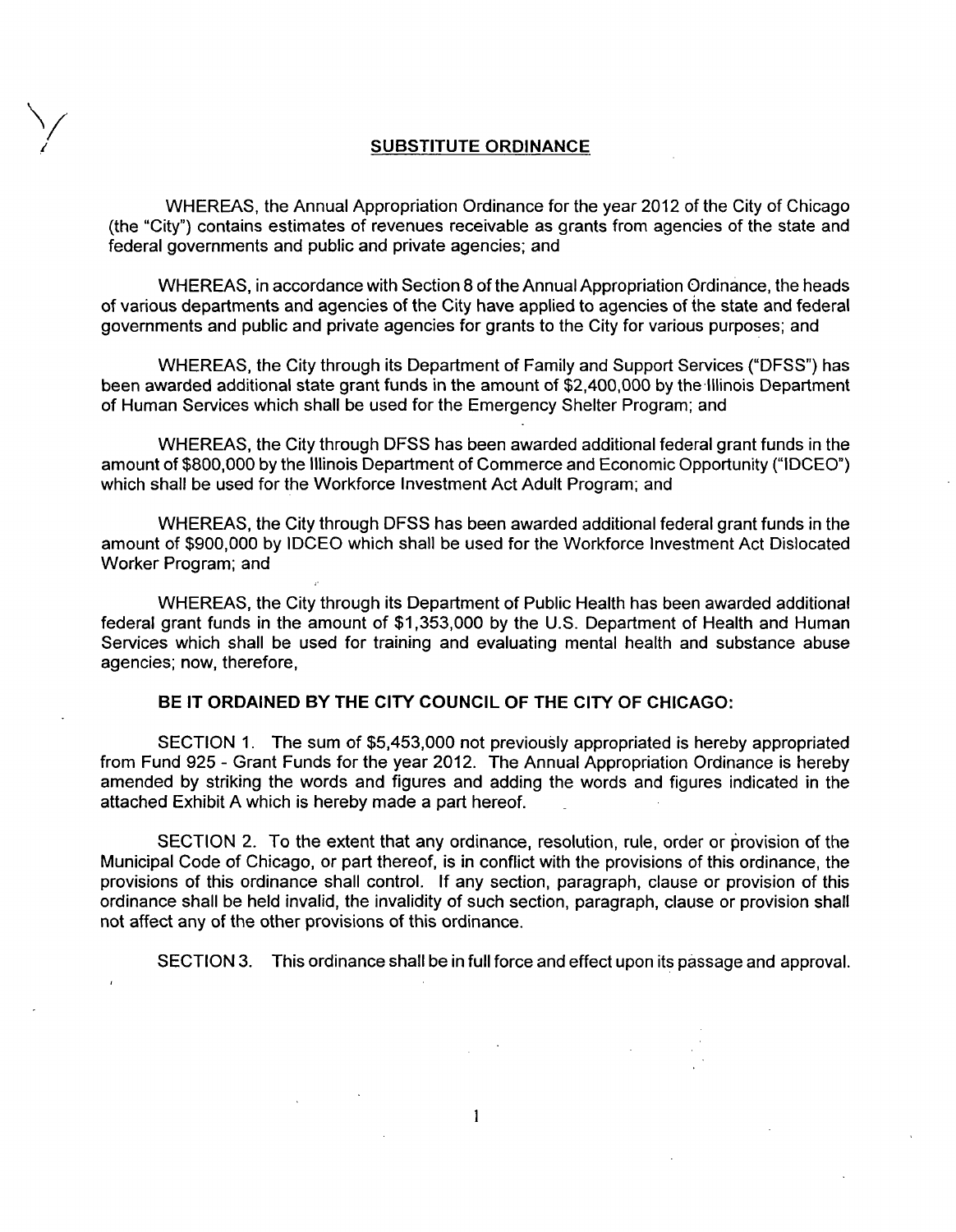#### **SUBSTITUTE ORDINANCE**

WHEREAS, the Annual Appropriation Ordinance for the year 2012 of the City of Chicago (the "City") contains estimates of revenues receivable as grants from agencies of the state and federal governments and public and private agencies; and

WHEREAS, in accordance with Section 8 of the Annual Appropriation Ordinance, the heads of various departments and agencies of the City have applied to agencies of the state and federal governments and public and private agencies for grants to the City for various purposes; and

WHEREAS, the City through its Department of Family and Support Services ("DFSS") has been awarded additional state grant funds in the amount of \$2,400,000 by the Illinois Department of Human Services which shall be used for the Emergency Shelter Program; and

WHEREAS, the City through DFSS has been awarded additional federal grant funds in the amount of \$800,000 by the Illinois Department of Commerce and Economic Opportunity ("IDCEO") which shall be used for the Workforce Investment Act Adult Program; and

WHEREAS, the City through DFSS has been awarded additional federal grant funds in the amount of \$900,000 by IDCEO which shall be used for the Workforce Investment Act Dislocated Worker Program; and

WHEREAS, the City through its Department of Public Health has been awarded additional federal grant funds in the amount of \$1,353,000 by the U.S. Department of Health and Human Services which shall be used for training and evaluating mental health and substance abuse agencies; now, therefore,

#### **BE IT ORDAINED BY THE CITY COUNCIL OF THE CITY OF CHICAGO:**

SECTION 1. The sum of \$5,453,000 not previously appropriated is hereby appropriated from Fund 925 - Grant Funds for the year 2012. The Annual Appropriation Ordinance is hereby amended by striking the words and figures and adding the words and figures indicated in the attached Exhibit A which is hereby made a part hereof.

SECTION 2. To the extent that any ordinance, resolution, rule, order or provision of the Municipal Code of Chicago, or part thereof, is in conflict with the provisions of this ordinance, the provisions of this ordinance shall control. If any section, paragraph, clause or provision of this ordinance shall be held invalid, the invalidity of such section, paragraph, clause or provision shall not affect any of the other provisions of this ordinance.

 $\mathbf{1}$ 

SECTION 3. This ordinance shall be in full force and effect upon its passage and approval.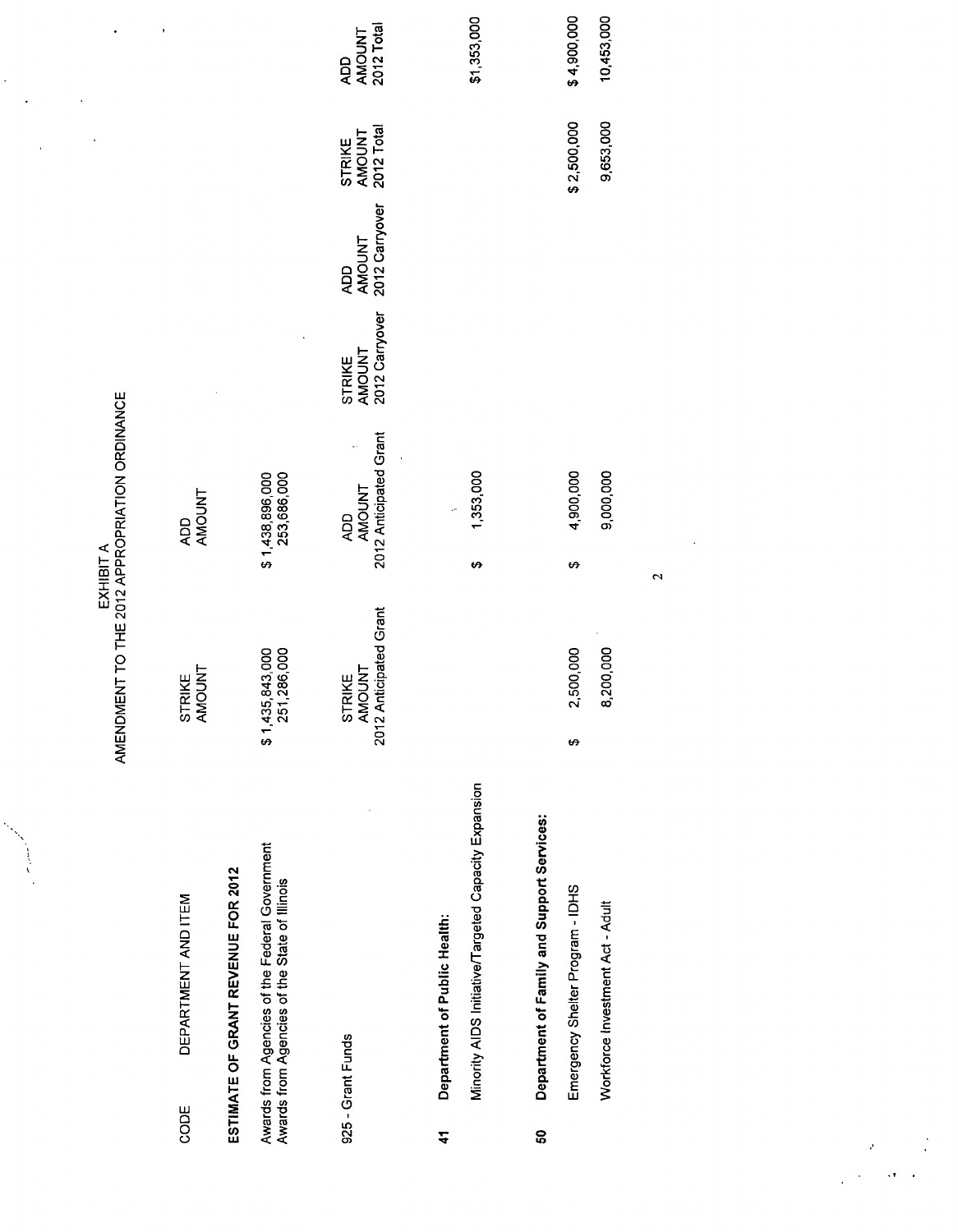|            |                                                                                                 | AMENDMENT TO THE 2012 APPROPRIATION ORDINANCE | EXHIBIT A                                      |                                           |                                               |                                       |                             |
|------------|-------------------------------------------------------------------------------------------------|-----------------------------------------------|------------------------------------------------|-------------------------------------------|-----------------------------------------------|---------------------------------------|-----------------------------|
| CODE       | DEPARTMENT AND ITEM                                                                             | STRIKE<br>AMOUNT                              | <b>AMOUNT</b><br>QOV                           |                                           |                                               |                                       |                             |
|            | ESTIMATE OF GRANT REVENUE FOR 2012                                                              |                                               |                                                |                                           |                                               |                                       |                             |
|            | Awards from Agencies of the Federal Government<br>Awards from Agencies of the State of Illinois | \$1,435,843,000<br>251,286,000                | \$1,438,896,000<br>253,686,000                 |                                           |                                               |                                       |                             |
|            | 925 - Grant Funds                                                                               | AMOUNT<br>2012 Anticipated Grant<br>STRIKE    | 2012 Anticipated Grant<br><b>AMOUNT</b><br>QOV | 2012 Carryover<br><b>AMOUNT</b><br>STRIKE | 2012 Carryover<br><b>AMOUNT</b><br><b>QOV</b> | 2012 Total<br><b>AMOUNT</b><br>STRIKE | AMOUNT<br>2012 Total<br>QOV |
| $\ddot{4}$ | Department of Public Health:                                                                    |                                               |                                                |                                           |                                               |                                       |                             |
|            | Minority AIDS Initiative/Targeted Capacity Expansion                                            |                                               | 1,353,000<br>₩                                 |                                           |                                               |                                       | \$1,353,000                 |
| င္တ        | Department of Family and Support Services:                                                      |                                               |                                                |                                           |                                               |                                       |                             |
|            | Emergency Shelter Program - IDHS                                                                | 500,000<br>$\mathbf{r}$<br>↮                  | 4,900,000<br>₩                                 |                                           |                                               | \$2,500,000                           | \$4,900,000                 |
|            | Workforce Investment Act - Adult                                                                | 8,200,000                                     | 9,000,000                                      |                                           |                                               | 9,653,000                             | 10,453,000                  |
|            |                                                                                                 |                                               | 2                                              |                                           |                                               |                                       |                             |
|            |                                                                                                 |                                               |                                                |                                           |                                               |                                       |                             |

 $\frac{1}{2}$ 

 $\frac{1}{2} \sum_{i=1}^{n} \frac{1}{2} \sum_{j=1}^{n} \frac{1}{2} \sum_{j=1}^{n} \frac{1}{2} \sum_{j=1}^{n} \frac{1}{2} \sum_{j=1}^{n} \frac{1}{2} \sum_{j=1}^{n} \frac{1}{2} \sum_{j=1}^{n} \frac{1}{2} \sum_{j=1}^{n} \frac{1}{2} \sum_{j=1}^{n} \frac{1}{2} \sum_{j=1}^{n} \frac{1}{2} \sum_{j=1}^{n} \frac{1}{2} \sum_{j=1}^{n} \frac{1}{2} \sum_{j=1}^{n$ 

 $\cdot$ 

 $\frac{1}{2}$ 

 $\label{eq:2} \begin{split} \mathcal{L}_{\text{max}} &= \frac{1}{2} \sum_{i=1}^{N} \frac{1}{2} \sum_{i=1}^{N} \frac{1}{2} \sum_{i=1}^{N} \frac{1}{2} \sum_{i=1}^{N} \frac{1}{2} \sum_{i=1}^{N} \frac{1}{2} \sum_{i=1}^{N} \frac{1}{2} \sum_{i=1}^{N} \frac{1}{2} \sum_{i=1}^{N} \frac{1}{2} \sum_{i=1}^{N} \frac{1}{2} \sum_{i=1}^{N} \frac{1}{2} \sum_{i=1}^{N} \frac{1}{2} \sum$ 

 $\ddot{\phantom{1}}$ 

 $\frac{1}{\sqrt{2}}$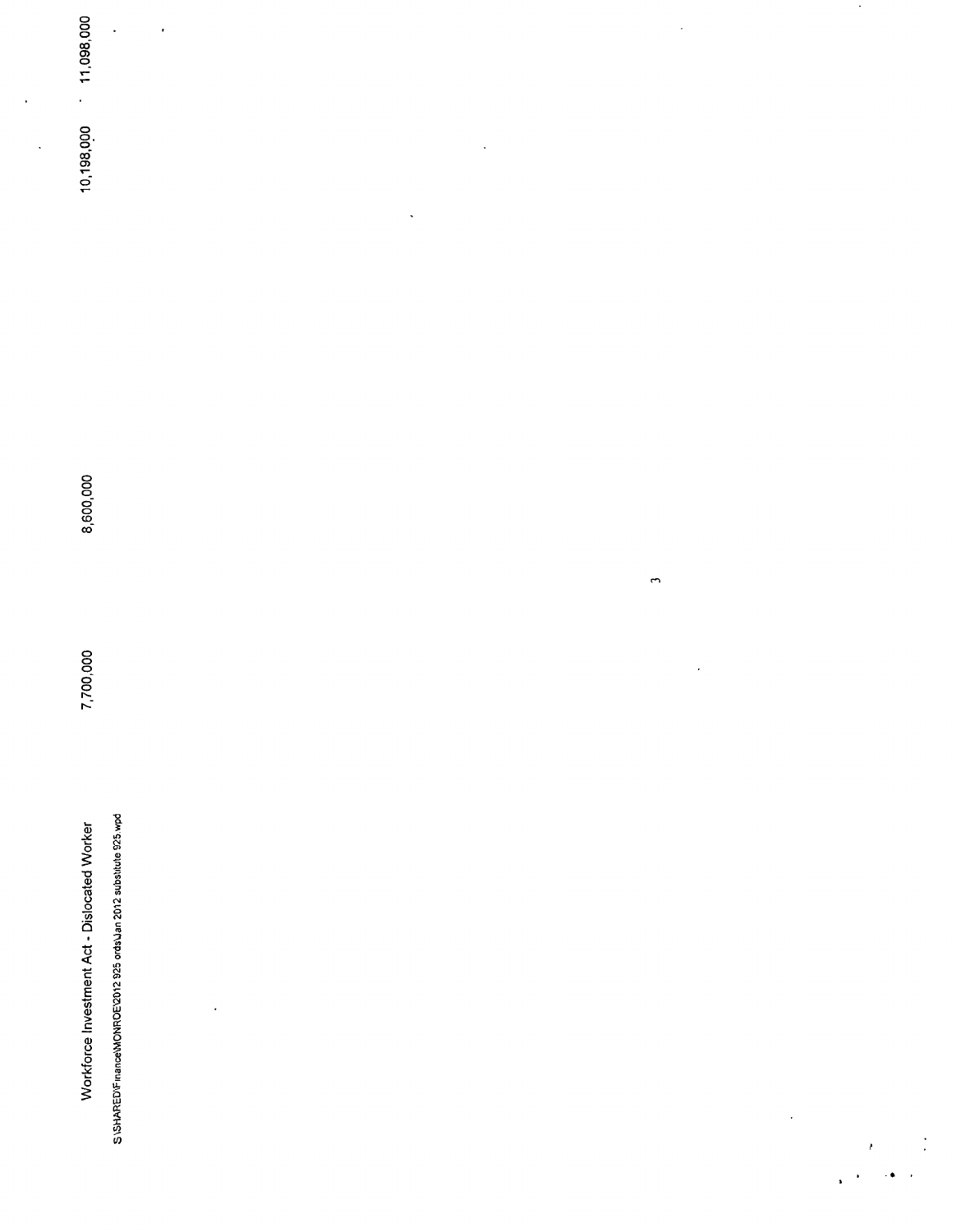|                      | 11,098,000<br>$\bar{\star}$                                       | $\bullet$ |                              |                      | $\bullet$    |          | $\mathcal{A}$    |  |
|----------------------|-------------------------------------------------------------------|-----------|------------------------------|----------------------|--------------|----------|------------------|--|
| $\ddot{\phantom{0}}$ |                                                                   |           |                              |                      |              |          |                  |  |
| $\bar{\phantom{a}}$  | 10,198,000                                                        |           |                              | $\ddot{\phantom{0}}$ |              |          |                  |  |
|                      |                                                                   |           | $\hat{\boldsymbol{\lambda}}$ |                      |              |          |                  |  |
|                      |                                                                   |           |                              |                      |              |          |                  |  |
|                      |                                                                   |           |                              |                      |              |          |                  |  |
|                      |                                                                   |           |                              |                      |              |          |                  |  |
|                      |                                                                   |           |                              |                      |              |          |                  |  |
|                      | 8,600,000                                                         |           |                              |                      |              |          |                  |  |
|                      |                                                                   |           |                              |                      | $\mathbf{r}$ |          |                  |  |
|                      |                                                                   |           |                              |                      |              |          |                  |  |
|                      | 7,700,000                                                         |           |                              |                      | $\epsilon$   |          |                  |  |
|                      |                                                                   |           |                              |                      |              |          |                  |  |
|                      |                                                                   |           |                              |                      |              |          |                  |  |
|                      |                                                                   |           |                              |                      |              |          |                  |  |
|                      | Workforce Investment Act - Dislocated Worker                      |           |                              |                      |              |          |                  |  |
|                      |                                                                   | $\bullet$ |                              |                      |              |          |                  |  |
|                      |                                                                   |           |                              |                      |              |          |                  |  |
|                      | SISHARED\Finance\MONROE\2012 925 ords\Jan 2012 substitute 925.wpd |           |                              |                      |              | $\sigma$ |                  |  |
|                      |                                                                   |           |                              |                      |              |          | $\lambda \sim 1$ |  |

 $\mathbf{r}^{(1)}$ 

 $\bullet$  .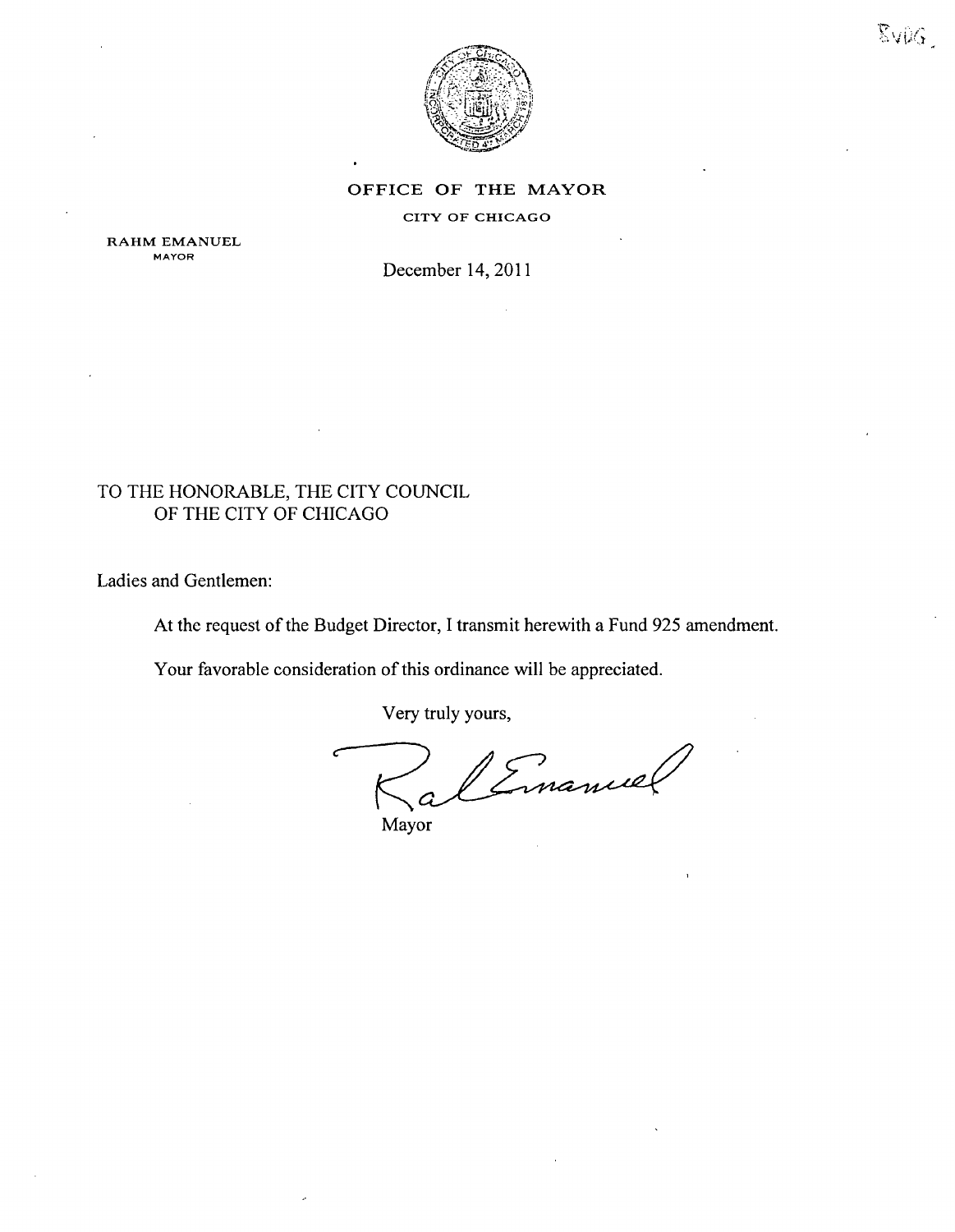

EVDG.

#### OFFICE OF THE MAYOR

#### CITY OF CHICAGO

RAHM EMANUEL MAYOR

December 14, 2011

### TO THE HONORABLE, THE CITY COUNCIL OF THE CITY OF CHICAGO

Ladies and Gentlemen:

At the request of the Budget Director, I transmit herewith a Fund 925 amendment.

Your favorable consideration of this ordinance will be appreciated.

Very truly yours,

Mayor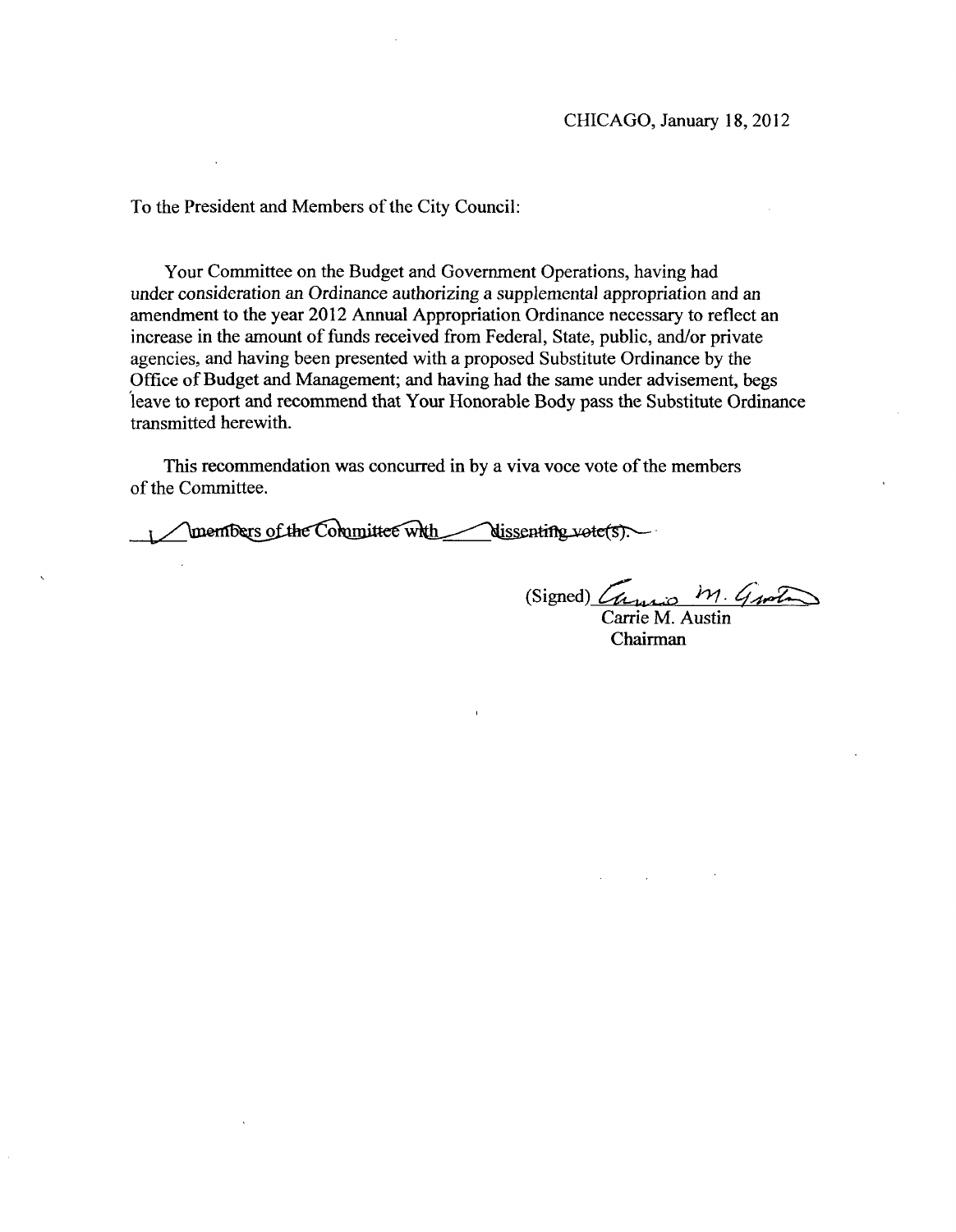To the President and Members of the City Council:

Your Committee on the Budget and Government Operations, having had under consideration an Ordinance authorizing a supplemental appropriation and an amendment to the year 2012 Armual Appropriation Ordinance necessary to reflect an increase in the amount of funds received from Federal, State, public, and/or private agencies, and having been presented with a proposed Substitute Ordinance by the Office of Budget and Management; and having had the same under advisement, begs leave to report and recommend that Your Honorable Body pass the Substitute Ordinance transmitted herewith.

This recommendation was concurred in by a viva voce vote of the members of the Committee.

members of the Committee with dissenting vote(s).

 $(Signed)$   $\zeta_{\mu\mu\nu\sigma}$   $M.$   $\zeta_{\mu\nu\tau}$ Carrie M. Austin

Chairman